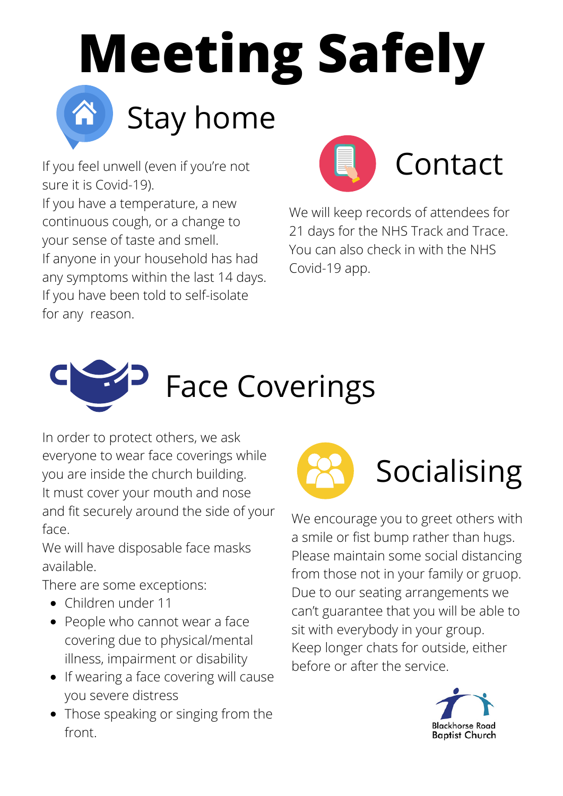

If you feel unwell (even if you're not sure it is Covid-19).

If you have a temperature, a new continuous cough, or a change to your sense of taste and smell. If anyone in your household has had any symptoms within the last 14 days. If you have been told to self-isolate for any reason.





We will keep records of attendees for 21 days for the NHS Track and Trace. You can also check in with the NHS Covid-19 app.



In order to protect others, we ask everyone to wear face coverings while you are inside the church building. It must cover your mouth and nose and fit securely around the side of your face.

We will have disposable face masks available.

There are some exceptions:

- Children under 11
- People who cannot wear a face covering due to physical/mental illness, impairment or disability
- If wearing a face covering will cause you severe distress
- Those speaking or singing from the front.



We encourage you to greet others with a smile or fist bump rather than hugs. Please maintain some social distancing from those not in your family or gruop. Due to our seating arrangements we can't guarantee that you will be able to sit with everybody in your group. Keep longer chats for outside, either before or after the service.